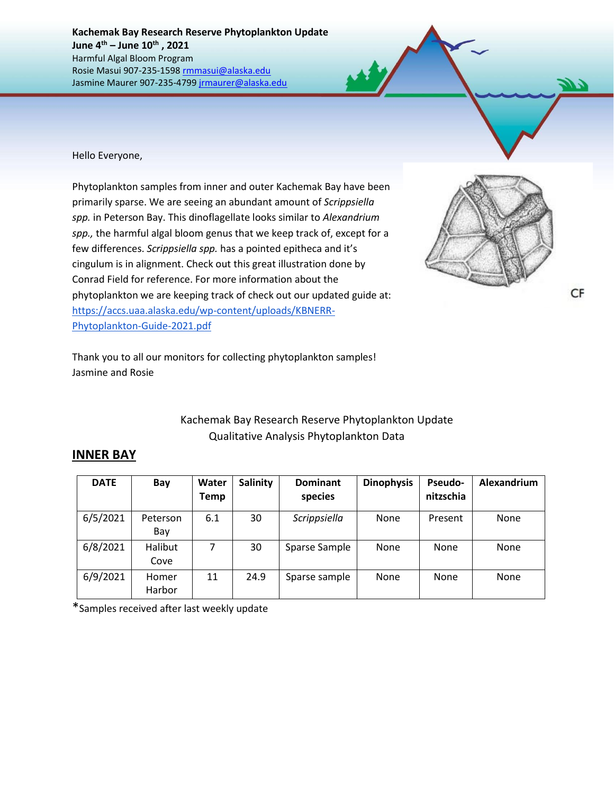**Kachemak Bay Research Reserve Phytoplankton Update June 4 th – June 10th , 2021** Harmful Algal Bloom Program Rosie Masui 907-235-1598 [rmmasui@alaska.edu](mailto:rmmasui@alaska.edu) Jasmine Maurer 907-235-479[9 jrmaurer@alaska.edu](mailto:jrmaurer@alaska.edu)

Hello Everyone,

Phytoplankton samples from inner and outer Kachemak Bay have been primarily sparse. We are seeing an abundant amount of *Scrippsiella spp.* in Peterson Bay. This dinoflagellate looks similar to *Alexandrium spp.,* the harmful algal bloom genus that we keep track of, except for a few differences. *Scrippsiella spp.* has a pointed epitheca and it's cingulum is in alignment. Check out this great illustration done by Conrad Field for reference. For more information about the phytoplankton we are keeping track of check out our updated guide at: [https://accs.uaa.alaska.edu/wp-content/uploads/KBNERR-](https://accs.uaa.alaska.edu/wp-content/uploads/KBNERR-Phytoplankton-Guide-2021.pdf)[Phytoplankton-Guide-2021.pdf](https://accs.uaa.alaska.edu/wp-content/uploads/KBNERR-Phytoplankton-Guide-2021.pdf)



Thank you to all our monitors for collecting phytoplankton samples! Jasmine and Rosie

## Kachemak Bay Research Reserve Phytoplankton Update Qualitative Analysis Phytoplankton Data

## **INNER BAY**

| <b>DATE</b> | Bay             | Water<br><b>Temp</b> | <b>Salinity</b> | <b>Dominant</b><br>species | <b>Dinophysis</b> | <b>Pseudo-</b><br>nitzschia | Alexandrium |
|-------------|-----------------|----------------------|-----------------|----------------------------|-------------------|-----------------------------|-------------|
| 6/5/2021    | Peterson<br>Bay | 6.1                  | 30              | Scrippsiella               | None              | Present                     | None        |
| 6/8/2021    | Halibut<br>Cove | 7                    | 30              | Sparse Sample              | None              | None                        | None        |
| 6/9/2021    | Homer<br>Harbor | 11                   | 24.9            | Sparse sample              | None              | None                        | None        |

\*Samples received after last weekly update